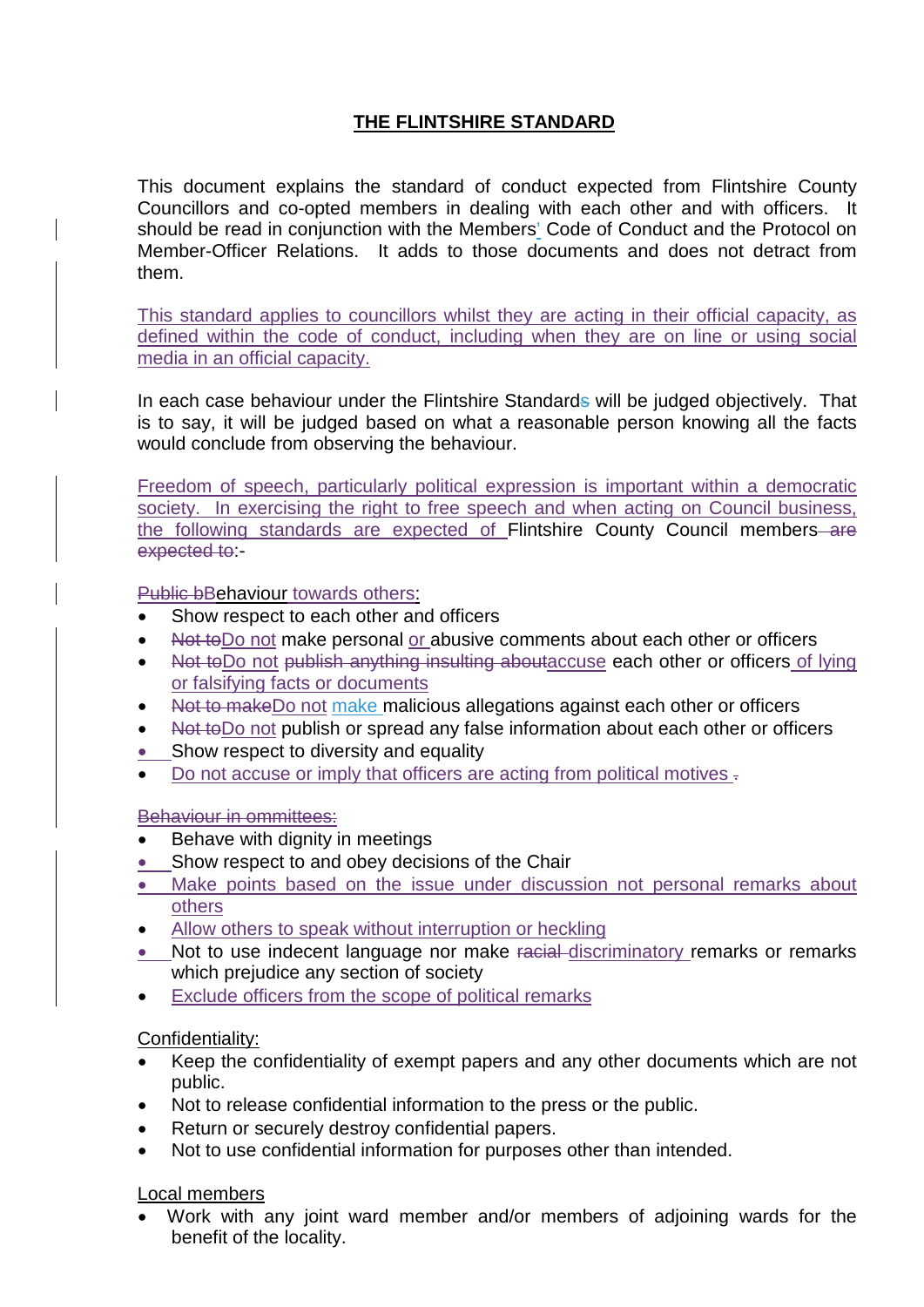# **THE FLINTSHIRE STANDARD**

This document explains the standard of conduct expected from Flintshire County Councillors and co-opted members in dealing with each other and with officers. It should be read in conjunction with the Members' Code of Conduct and the Protocol on Member-Officer Relations. It adds to those documents and does not detract from them.

This standard applies to councillors whilst they are acting in their official capacity, as defined within the code of conduct, including when they are on line or using social media in an official capacity.

In each case behaviour under the Flintshire Standards will be judged objectively. That is to say, it will be judged based on what a reasonable person knowing all the facts would conclude from observing the behaviour.

Freedom of speech, particularly political expression is important within a democratic society. In exercising the right to free speech and when acting on Council business, the following standards are expected of Flintshire County Council members-are expected to:-

Public bBehaviour towards others:

- Show respect to each other and officers
- Not toDo not make personal or abusive comments about each other or officers
- Not toDo not publish anything insulting aboutaccuse each other or officers of lying or falsifying facts or documents
- Not to makeDo not make malicious allegations against each other or officers
- Not to Do not publish or spread any false information about each other or officers
- Show respect to diversity and equality
- Do not accuse or imply that officers are acting from political motives .

Behaviour in ommittees:

- Behave with dignity in meetings
- Show respect to and obey decisions of the Chair
- Make points based on the issue under discussion not personal remarks about others
- Allow others to speak without interruption or heckling
- Not to use indecent language nor make racial-discriminatory remarks or remarks which prejudice any section of society
- Exclude officers from the scope of political remarks

#### Confidentiality:

- Keep the confidentiality of exempt papers and any other documents which are not public.
- Not to release confidential information to the press or the public.
- Return or securely destroy confidential papers.
- Not to use confidential information for purposes other than intended.

#### Local members

• Work with any joint ward member and/or members of adjoining wards for the benefit of the locality.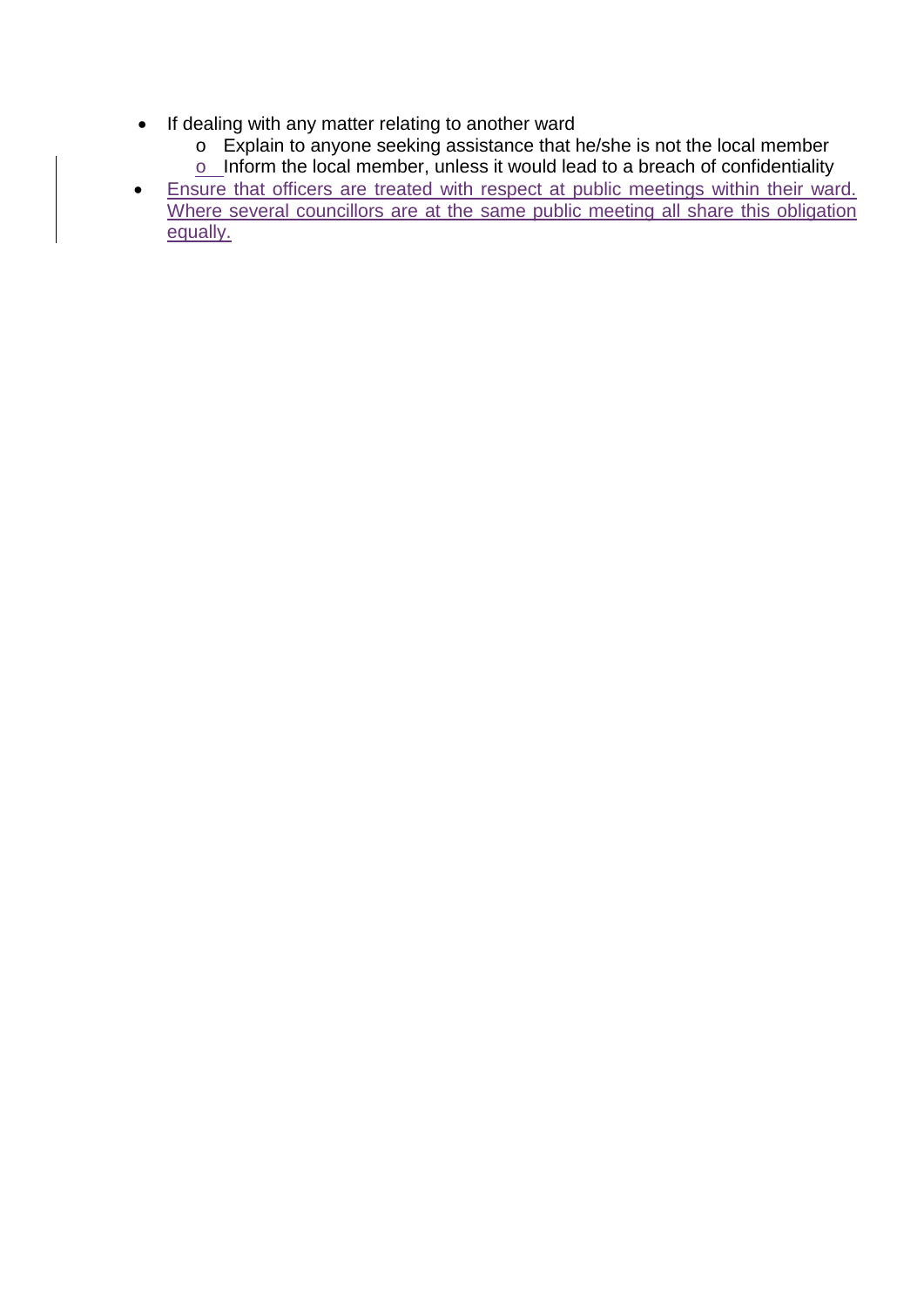- If dealing with any matter relating to another ward
	- o Explain to anyone seeking assistance that he/she is not the local member  $\circ$  Liferant to any one econing accretative that here is no term the local member, unless it would lead to a breach of confidentiality
- Ensure that officers are treated with respect at public meetings within their ward. Where several councillors are at the same public meeting all share this obligation equally.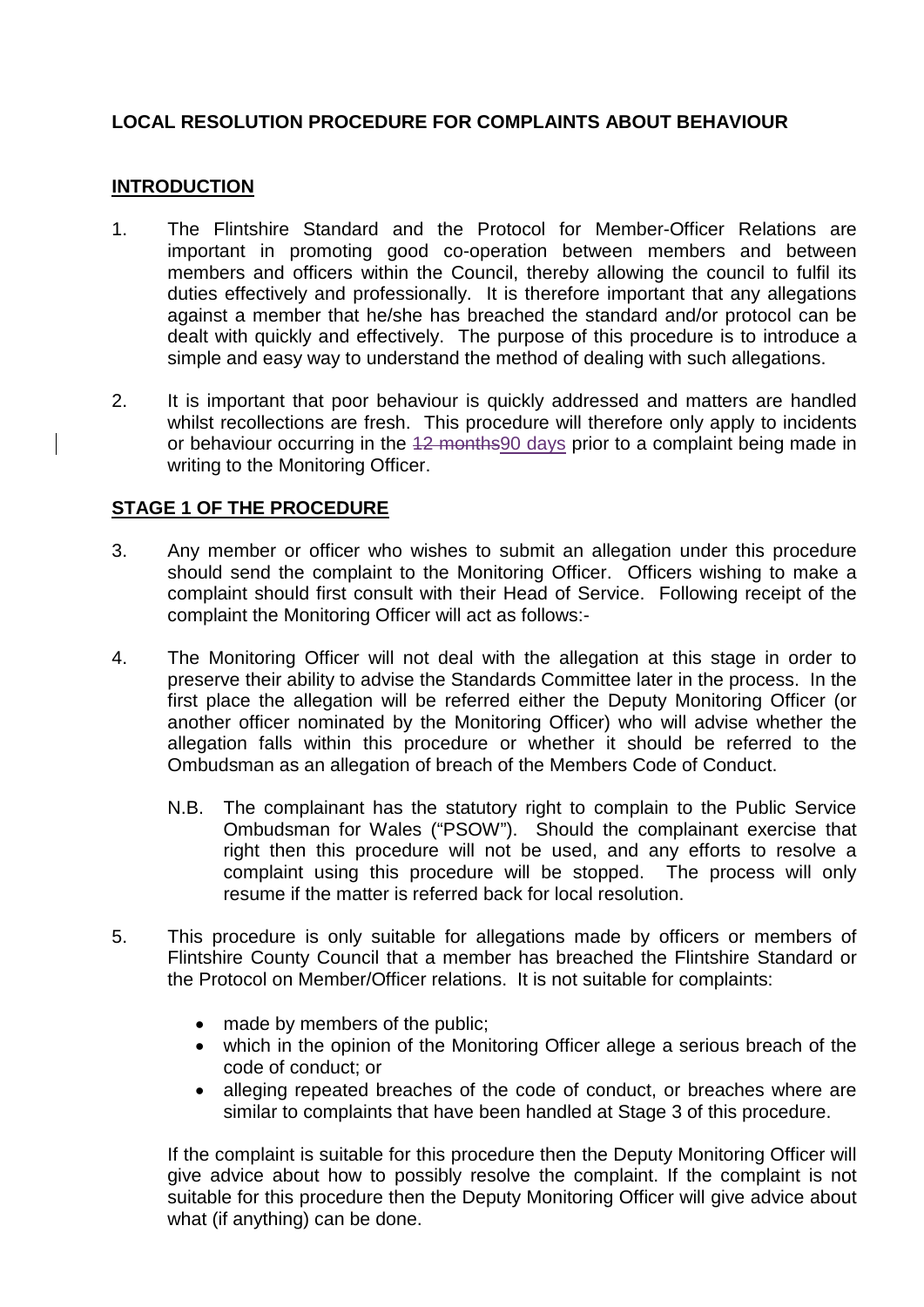## **LOCAL RESOLUTION PROCEDURE FOR COMPLAINTS ABOUT BEHAVIOUR**

### **INTRODUCTION**

- 1. The Flintshire Standard and the Protocol for Member-Officer Relations are important in promoting good co-operation between members and between members and officers within the Council, thereby allowing the council to fulfil its duties effectively and professionally. It is therefore important that any allegations against a member that he/she has breached the standard and/or protocol can be dealt with quickly and effectively. The purpose of this procedure is to introduce a simple and easy way to understand the method of dealing with such allegations.
- 2. It is important that poor behaviour is quickly addressed and matters are handled whilst recollections are fresh. This procedure will therefore only apply to incidents or behaviour occurring in the 42 months90 days prior to a complaint being made in writing to the Monitoring Officer.

# **STAGE 1 OF THE PROCEDURE**

- 3. Any member or officer who wishes to submit an allegation under this procedure should send the complaint to the Monitoring Officer. Officers wishing to make a complaint should first consult with their Head of Service. Following receipt of the complaint the Monitoring Officer will act as follows:-
- 4. The Monitoring Officer will not deal with the allegation at this stage in order to preserve their ability to advise the Standards Committee later in the process. In the first place the allegation will be referred either the Deputy Monitoring Officer (or another officer nominated by the Monitoring Officer) who will advise whether the allegation falls within this procedure or whether it should be referred to the Ombudsman as an allegation of breach of the Members Code of Conduct.
	- N.B. The complainant has the statutory right to complain to the Public Service Ombudsman for Wales ("PSOW"). Should the complainant exercise that right then this procedure will not be used, and any efforts to resolve a complaint using this procedure will be stopped. The process will only resume if the matter is referred back for local resolution.
- 5. This procedure is only suitable for allegations made by officers or members of Flintshire County Council that a member has breached the Flintshire Standard or the Protocol on Member/Officer relations. It is not suitable for complaints:
	- made by members of the public;
	- which in the opinion of the Monitoring Officer allege a serious breach of the code of conduct; or
	- alleging repeated breaches of the code of conduct, or breaches where are similar to complaints that have been handled at Stage 3 of this procedure.

If the complaint is suitable for this procedure then the Deputy Monitoring Officer will give advice about how to possibly resolve the complaint. If the complaint is not suitable for this procedure then the Deputy Monitoring Officer will give advice about what (if anything) can be done.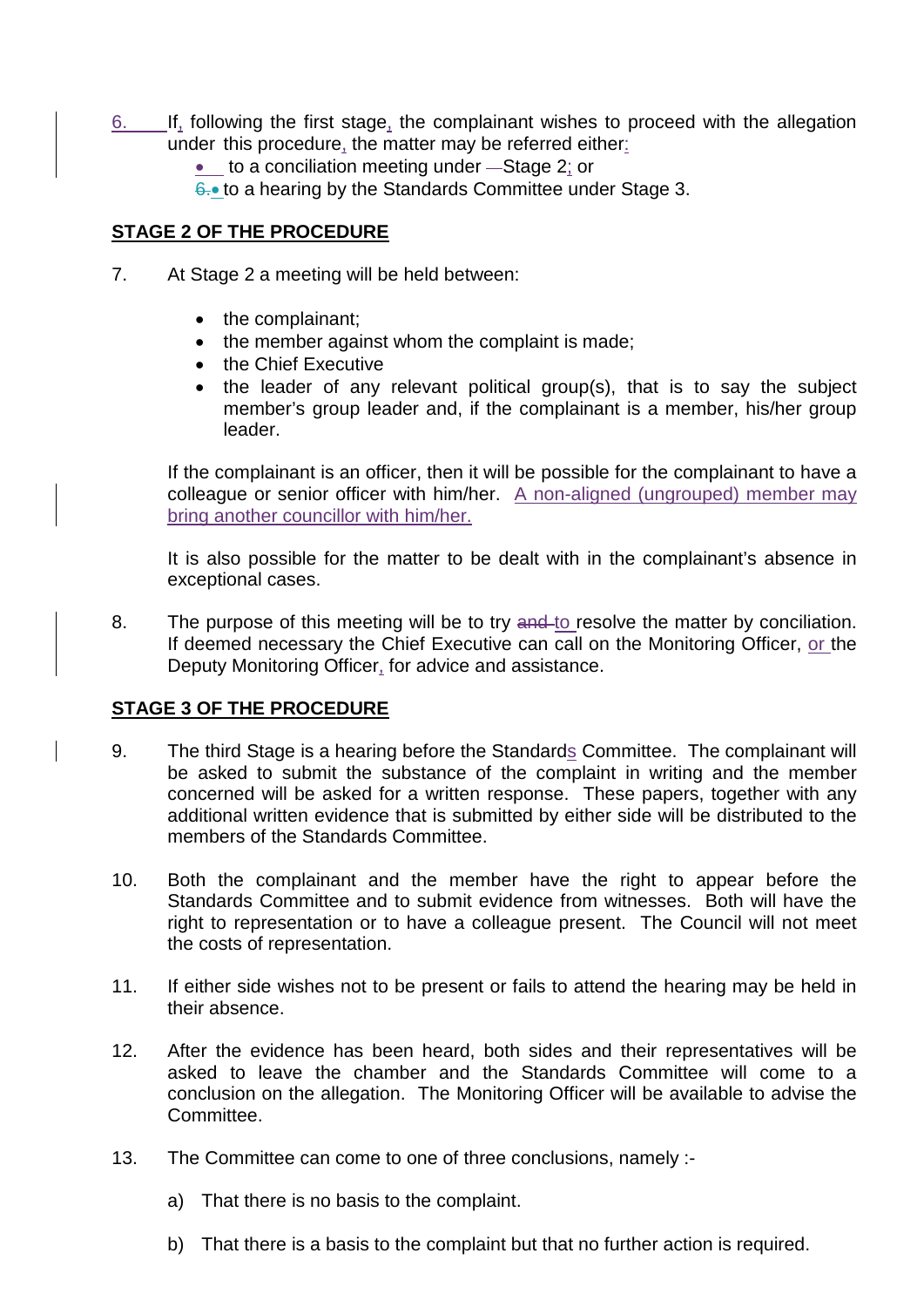- $6.$  If, following the first stage, the complainant wishes to proceed with the allegation under this procedure, the matter may be referred either:
	- $\bullet$  to a conciliation meeting under -Stage 2; or
	- 6.• to a hearing by the Standards Committee under Stage 3.

### **STAGE 2 OF THE PROCEDURE**

- 7. At Stage 2 a meeting will be held between:
	- the complainant;
	- the member against whom the complaint is made;
	- the Chief Executive
	- the leader of any relevant political group(s), that is to say the subject member's group leader and, if the complainant is a member, his/her group leader.

If the complainant is an officer, then it will be possible for the complainant to have a colleague or senior officer with him/her. A non-aligned (ungrouped) member may bring another councillor with him/her.

It is also possible for the matter to be dealt with in the complainant's absence in exceptional cases.

8. The purpose of this meeting will be to try and to resolve the matter by conciliation. If deemed necessary the Chief Executive can call on the Monitoring Officer, or the Deputy Monitoring Officer, for advice and assistance.

### **STAGE 3 OF THE PROCEDURE**

- 9. The third Stage is a hearing before the Standards Committee. The complainant will be asked to submit the substance of the complaint in writing and the member concerned will be asked for a written response. These papers, together with any additional written evidence that is submitted by either side will be distributed to the members of the Standards Committee.
- 10. Both the complainant and the member have the right to appear before the Standards Committee and to submit evidence from witnesses. Both will have the right to representation or to have a colleague present. The Council will not meet the costs of representation.
- 11. If either side wishes not to be present or fails to attend the hearing may be held in their absence.
- 12. After the evidence has been heard, both sides and their representatives will be asked to leave the chamber and the Standards Committee will come to a conclusion on the allegation. The Monitoring Officer will be available to advise the Committee.
- 13. The Committee can come to one of three conclusions, namely :
	- a) That there is no basis to the complaint.
	- b) That there is a basis to the complaint but that no further action is required.